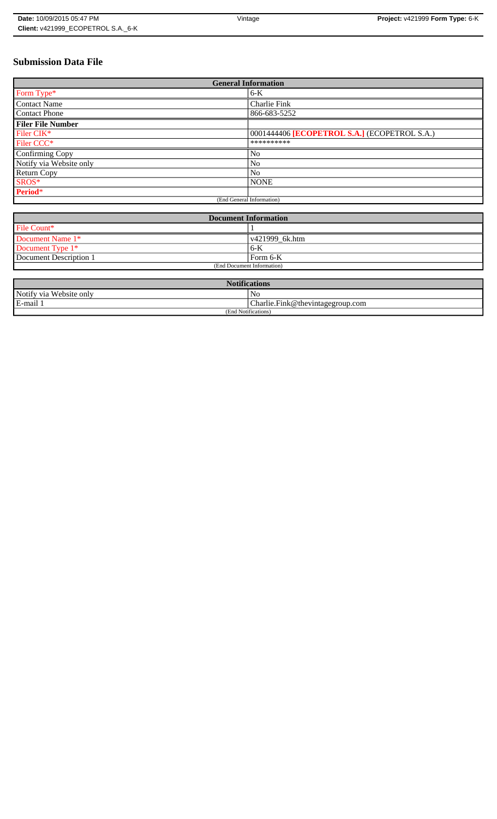# **Submission Data File**

| <b>General Information</b> |                                              |
|----------------------------|----------------------------------------------|
| Form Type*                 | $6-K$                                        |
| <b>Contact Name</b>        | Charlie Fink                                 |
| <b>Contact Phone</b>       | 866-683-5252                                 |
| <b>Filer File Number</b>   |                                              |
| Filer CIK*                 | 0001444406 [ECOPETROL S.A.] (ECOPETROL S.A.) |
| Filer CCC <sup>*</sup>     | **********                                   |
| Confirming Copy            | No                                           |
| Notify via Website only    | No                                           |
| <b>Return Copy</b>         | N <sub>o</sub>                               |
| SROS*                      | <b>NONE</b>                                  |
| Period*                    |                                              |
| (End General Information)  |                                              |

| <b>Document Information</b> |                        |
|-----------------------------|------------------------|
| File Count*                 |                        |
| Document Name 1*            | $\sqrt{421999}$ 6k.htm |
| Document Type 1*            | 6-K                    |
| Document Description 1      | l Form 6-K             |
| (End Document Information)  |                        |

| <b>Notifications</b>    |                                  |
|-------------------------|----------------------------------|
| Notify via Website only | N <sub>0</sub>                   |
| E-mail 1                | Charlie.Fink@thevintagegroup.com |
| (End Notifications)     |                                  |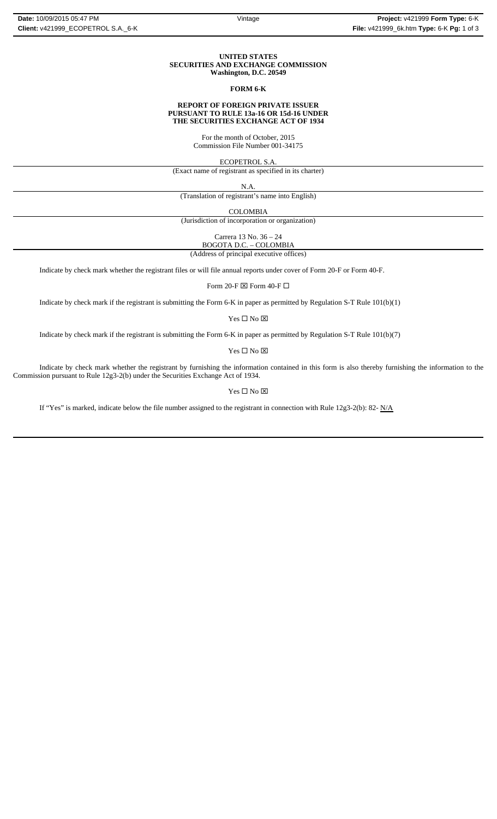#### **UNITED STATES SECURITIES AND EXCHANGE COMMISSION Washington, D.C. 20549**

## **FORM 6-K**

#### **REPORT OF FOREIGN PRIVATE ISSUER PURSUANT TO RULE 13a-16 OR 15d-16 UNDER THE SECURITIES EXCHANGE ACT OF 1934**

For the month of October, 2015 Commission File Number 001-34175

ECOPETROL S.A.

(Exact name of registrant as specified in its charter)

N.A.

(Translation of registrant's name into English)

COLOMBIA

(Jurisdiction of incorporation or organization)

Carrera 13 No. 36 – 24 BOGOTA D.C. – COLOMBIA

(Address of principal executive offices)

Indicate by check mark whether the registrant files or will file annual reports under cover of Form 20-F or Form 40-F.

Form 20-F  $\boxtimes$  Form 40-F  $\Box$ 

Indicate by check mark if the registrant is submitting the Form 6-K in paper as permitted by Regulation S-T Rule 101(b)(1)

Yes $\Box$  No  $\boxtimes$ 

Indicate by check mark if the registrant is submitting the Form 6-K in paper as permitted by Regulation S-T Rule 101(b)(7)

 $\mathbf{Yes} \ \square \ \mathbf{No} \ \boxtimes$ 

Indicate by check mark whether the registrant by furnishing the information contained in this form is also thereby furnishing the information to the Commission pursuant to Rule 12g3-2(b) under the Securities Exchange Act of 1934.

## $Yes \Box No \boxtimes$

If "Yes" is marked, indicate below the file number assigned to the registrant in connection with Rule 12g3-2(b): 82-  $N/A$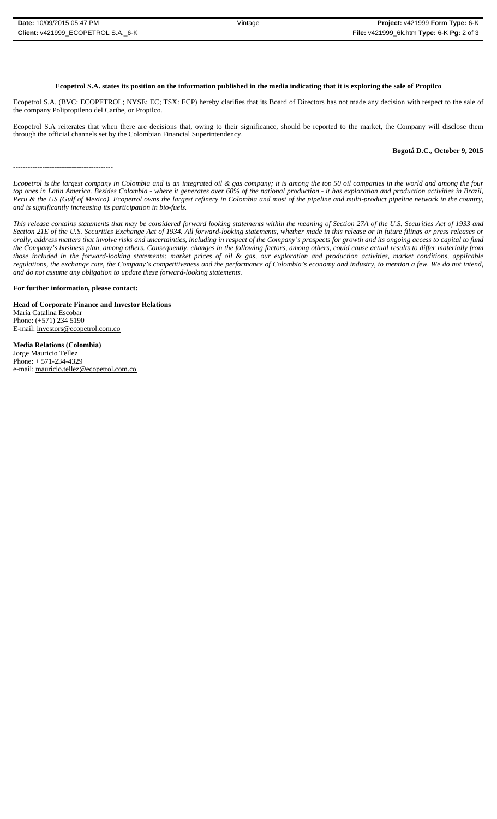## **Ecopetrol S.A. states its position on the information published in the media indicating that it is exploring the sale of Propilco**

Ecopetrol S.A. (BVC: ECOPETROL; NYSE: EC; TSX: ECP) hereby clarifies that its Board of Directors has not made any decision with respect to the sale of the company Polipropileno del Caribe, or Propilco.

Ecopetrol S.A reiterates that when there are decisions that, owing to their significance, should be reported to the market, the Company will disclose them through the official channels set by the Colombian Financial Superintendency.

#### **Bogotá D.C., October 9, 2015**

*Ecopetrol is the largest company in Colombia and is an integrated oil & gas company; it is among the top 50 oil companies in the world and among the four top ones in Latin America. Besides Colombia - where it generates over 60% of the national production - it has exploration and production activities in Brazil, Peru & the US (Gulf of Mexico). Ecopetrol owns the largest refinery in Colombia and most of the pipeline and multi-product pipeline network in the country, and is significantly increasing its participation in bio-fuels.*

*This release contains statements that may be considered forward looking statements within the meaning of Section 27A of the U.S. Securities Act of 1933 and Section 21E of the U.S. Securities Exchange Act of 1934. All forward-looking statements, whether made in this release or in future filings or press releases or orally, address matters that involve risks and uncertainties, including in respect of the Company's prospects for growth and its ongoing access to capital to fund the Company's business plan, among others. Consequently, changes in the following factors, among others, could cause actual results to differ materially from those included in the forward-looking statements: market prices of oil & gas, our exploration and production activities, market conditions, applicable regulations, the exchange rate, the Company's competitiveness and the performance of Colombia's economy and industry, to mention a few. We do not intend, and do not assume any obligation to update these forward-looking statements.*

#### **For further information, please contact:**

-----------------------------------------

**Head of Corporate Finance and Investor Relations** María Catalina Escobar Phone: (+571) 234 5190 E-mail: investors@ecopetrol.com.co

**Media Relations (Colombia)**  Jorge Mauricio Tellez Phone: + 571-234-4329 e-mail: mauricio.tellez@ecopetrol.com.co